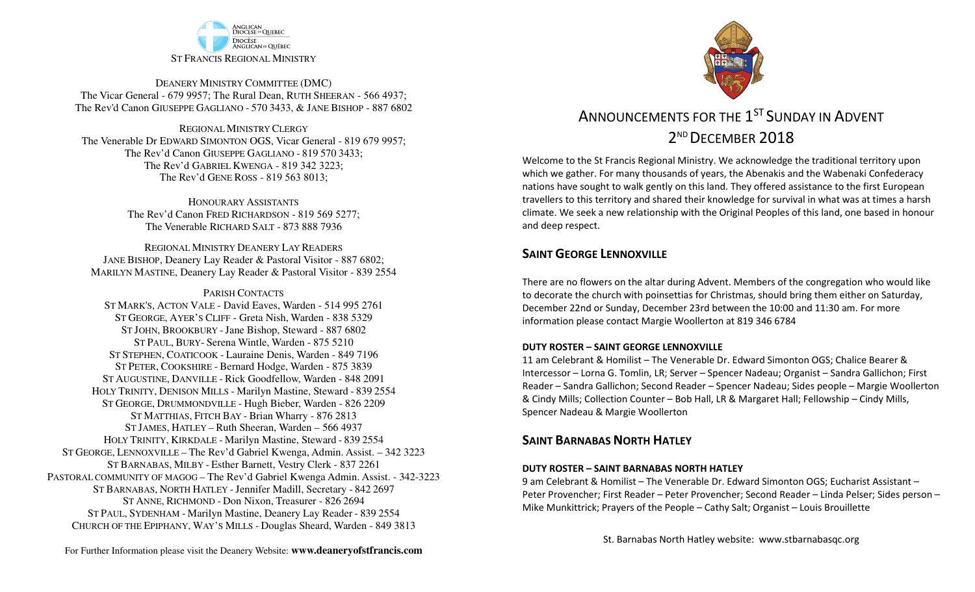

DEANERY MINISTRY COMMITTEE (DMC) The Vicar General - 679 9957; The Rural Dean, RUTH SHEERAN - 566 4937; The Rev'd Canon GIUSEPPE GAGLIANO - <sup>570</sup> 3433, & JANE BISHOP - 887 6802

REGIONAL MINISTRY CLERGY The Venerable Dr EDWARD SIMONTON OGS, Vicar General - 819 679 9957;The Rev'd Canon GIUSEPPE GAGLIANO - <sup>819</sup> <sup>570</sup> 3433; The Rev'd GABRIEL KWENGA - 819 342 3223;The Rev'd GENE ROSS - 819 563 8013;

> HONOURARY ASSISTANTS The Rev'd Canon FRED RICHARDSON - 819 569 5277;The Venerable RICHARD SALT - 873 888 7936

REGIONAL MINISTRY DEANERY LAY READERS JANE BISHOP, Deanery Lay Reader & Pastoral Visitor - 887 6802;MARILYN MASTINE, Deanery Lay Reader & Pastoral Visitor - 839 2554

PARISH CONTACTS

 ST MARK'S, ACTON VALE - David Eaves, Warden - 514 995 2761 ST GEORGE, AYER'<sup>S</sup> CLIFF - Greta Nish, Warden - 838 5329 ST JOHN, BROOKBURY -Jane Bishop, Steward - 887 6802 ST PAUL, BURY- Serena Wintle, Warden - 875 5210 ST STEPHEN, COATICOOK - Lauraine Denis, Warden - 849 7196 ST PETER, COOKSHIRE - Bernard Hodge, Warden - 875 3839 ST AUGUSTINE, DANVILLE - Rick Goodfellow, Warden - 848 2091 HOLY TRINITY, DENISON MILLS - Marilyn Mastine, Steward - <sup>839</sup> <sup>2554</sup> ST GEORGE, DRUMMONDVILLE - Hugh Bieber, Warden - 826 2209 ST MATTHIAS, FITCH BAY - Brian Wharry - 876 2813 ST JAMES, HATLEY – Ruth Sheeran, Warden – 566 4937 HOLY TRINITY, KIRKDALE - Marilyn Mastine, Steward - <sup>839</sup> <sup>2554</sup> ST GEORGE, LENNOXVILLE – The Rev'd Gabriel Kwenga, Admin. Assist. – 342 3223 ST BARNABAS, MILBY - Esther Barnett, Vestry Clerk - 837 2261 PASTORAL COMMUNITY OF MAGOG – The Rev'd Gabriel Kwenga Admin. Assist. - 342-3223 ST BARNABAS, NORTH HATLEY - Jennifer Madill, Secretary - 842 2697 ST ANNE, RICHMOND - Don Nixon, Treasurer - 826 <sup>2694</sup> ST PAUL, SYDENHAM - Marilyn Mastine, Deanery Lay Reader - <sup>839</sup> <sup>2554</sup> CHURCH OF THE EPIPHANY, WAY'<sup>S</sup> MILLS - Douglas Sheard, Warden - 849 3813



# ANNOUNCEMENTS FOR THE  $1^{\rm ST}$  SUNDAY IN ADVENT  $2^{\scriptscriptstyle\mathsf{ND}}$  December  $2018$

Welcome to the St Francis Regional Ministry. We acknowledge the traditional territory upon which we gather. For many thousands of years, the Abenakis and the Wabenaki Confederacy nations have sought to walk gently on this land. They offered assistance to the first European travellers to this territory and shared their knowledge for survival in what was at times a harsh climate. We seek a new relationship with the Original Peoples of this land, one based in honour and deep respect.

# **SAINT GEORGE LENNOXVILLE**

There are no flowers on the altar during Advent. Members of the congregation who would like to decorate the church with poinsettias for Christmas, should bring them either on Saturday, December 22nd or Sunday, December 23rd between the 10:00 and 11:30 am. For more information please contact Margie Woollerton at 819 346 6784

#### **DUTY ROSTER – SAINT GEORGE LENNOXVILLE**

11 am Celebrant & Homilist – The Venerable Dr. Edward Simonton OGS; Chalice Bearer & Intercessor – Lorna G. Tomlin, LR; Server – Spencer Nadeau; Organist – Sandra Gallichon; First Reader – Sandra Gallichon; Second Reader – Spencer Nadeau; Sides people – Margie Woollerton & Cindy Mills; Collection Counter – Bob Hall, LR & Margaret Hall; Fellowship – Cindy Mills, Spencer Nadeau & Margie Woollerton

# **SAINT BARNABAS NORTH HATLEY**

#### **DUTY ROSTER – SAINT BARNABAS NORTH HATLEY**

9 am Celebrant & Homilist – The Venerable Dr. Edward Simonton OGS; Eucharist Assistant – Peter Provencher; First Reader – Peter Provencher; Second Reader – Linda Pelser; Sides person – Mike Munkittrick; Prayers of the People – Cathy Salt; Organist – Louis Brouillette